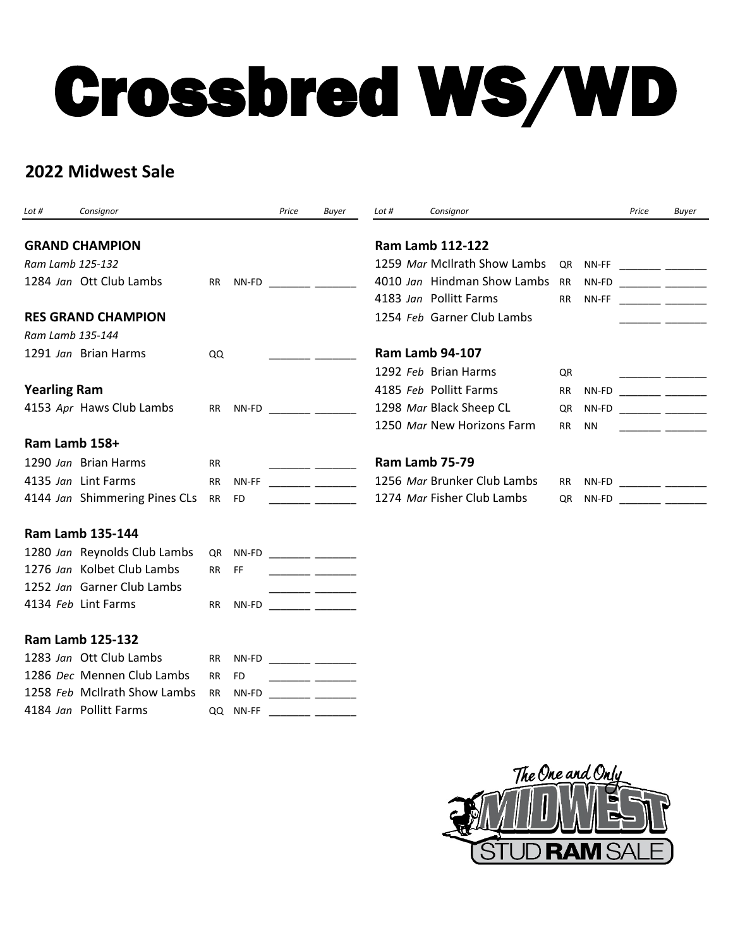## Crossbred WS/WD

## **2022 Midwest Sale**

| Lot #               | Consignor                        |           |           | Price | Buyer                              | Lot #                        | Consignor                   |                                 |                          | Price                                                                                                                | <b>Buyer</b>                                                                                                          |
|---------------------|----------------------------------|-----------|-----------|-------|------------------------------------|------------------------------|-----------------------------|---------------------------------|--------------------------|----------------------------------------------------------------------------------------------------------------------|-----------------------------------------------------------------------------------------------------------------------|
|                     | <b>GRAND CHAMPION</b>            |           |           |       |                                    |                              | <b>Ram Lamb 112-122</b>     |                                 |                          |                                                                                                                      |                                                                                                                       |
| Ram Lamb 125-132    |                                  |           |           |       |                                    | 1259 Mar McIlrath Show Lambs | QR                          |                                 | NN-FF _________ ________ |                                                                                                                      |                                                                                                                       |
|                     | 1284 Jan Ott Club Lambs          | <b>RR</b> | NN-FD     |       |                                    |                              | 4010 Jan Hindman Show Lambs | <b>RR</b>                       | NN-FD                    | <u> 1999 - Johann John Harry Harry Harry Harry Harry Harry Harry Harry Harry Harry Harry Harry Harry Harry Harry</u> |                                                                                                                       |
|                     |                                  |           |           |       |                                    |                              | 4183 Jan Pollitt Farms      | RR.                             | NN-FF                    |                                                                                                                      | <u> 1990 - John Harry John Harry Harry Harry</u>                                                                      |
|                     | <b>RES GRAND CHAMPION</b>        |           |           |       |                                    |                              | 1254 Feb Garner Club Lambs  |                                 |                          |                                                                                                                      |                                                                                                                       |
| Ram Lamb 135-144    |                                  |           |           |       |                                    |                              |                             |                                 |                          |                                                                                                                      |                                                                                                                       |
|                     | 1291 Jan Brian Harms             | QQ        |           |       |                                    |                              | <b>Ram Lamb 94-107</b>      |                                 |                          |                                                                                                                      |                                                                                                                       |
|                     |                                  |           |           |       |                                    |                              | 1292 Feb Brian Harms        | QR                              |                          |                                                                                                                      |                                                                                                                       |
| <b>Yearling Ram</b> |                                  |           |           |       | 4185 Feb Pollitt Farms             | RR                           | NN-FD                       | <u> The Common Common State</u> |                          |                                                                                                                      |                                                                                                                       |
|                     | 4153 Apr Haws Club Lambs         | RR I      |           |       |                                    |                              | 1298 Mar Black Sheep CL     | QR                              | NN-FD                    |                                                                                                                      | <u> 1990 - Albert Stormer (</u>                                                                                       |
|                     |                                  |           |           |       |                                    |                              | 1250 Mar New Horizons Farm  | <b>RR</b>                       | <b>NN</b>                |                                                                                                                      | <u> 1999 - Johann Barnett, mars and de la partie de la partie de la partie de la partie de la partie de la partie</u> |
| Ram Lamb 158+       |                                  |           |           |       |                                    |                              |                             |                                 |                          |                                                                                                                      |                                                                                                                       |
|                     | 1290 Jan Brian Harms             | <b>RR</b> |           |       |                                    | Ram Lamb 75-79               |                             |                                 |                          |                                                                                                                      |                                                                                                                       |
|                     | 4135 Jan Lint Farms              | <b>RR</b> | NN-FF     |       |                                    |                              | 1256 Mar Brunker Club Lambs | <b>RR</b>                       |                          | NN-FD _________ ________                                                                                             |                                                                                                                       |
|                     | 4144 Jan Shimmering Pines CLs RR |           | <b>FD</b> |       |                                    |                              | 1274 Mar Fisher Club Lambs  | QR                              |                          | NN-FD _________ _________                                                                                            |                                                                                                                       |
|                     | <b>Ram Lamb 135-144</b>          |           |           |       |                                    |                              |                             |                                 |                          |                                                                                                                      |                                                                                                                       |
|                     | 1280 Jan Reynolds Club Lambs     | QR        |           |       |                                    |                              |                             |                                 |                          |                                                                                                                      |                                                                                                                       |
|                     | 1276 Jan Kolbet Club Lambs       | <b>RR</b> | FF.       |       |                                    |                              |                             |                                 |                          |                                                                                                                      |                                                                                                                       |
|                     | 1252 Jan Garner Club Lambs       |           |           |       |                                    |                              |                             |                                 |                          |                                                                                                                      |                                                                                                                       |
|                     | 4134 Feb Lint Farms              | <b>RR</b> |           |       | NN-FD __________ _________         |                              |                             |                                 |                          |                                                                                                                      |                                                                                                                       |
|                     | <b>Ram Lamb 125-132</b>          |           |           |       |                                    |                              |                             |                                 |                          |                                                                                                                      |                                                                                                                       |
|                     | 1283 Jan Ott Club Lambs          | <b>RR</b> | NN-FD     |       |                                    |                              |                             |                                 |                          |                                                                                                                      |                                                                                                                       |
|                     | 1286 Dec Mennen Club Lambs       | <b>RR</b> | <b>FD</b> |       | <u> La Carlo Carlo III de la c</u> |                              |                             |                                 |                          |                                                                                                                      |                                                                                                                       |
|                     | 1258 Feb McIlrath Show Lambs     | <b>RR</b> | NN-FD     |       |                                    |                              |                             |                                 |                          |                                                                                                                      |                                                                                                                       |
|                     | 4184 Jan Pollitt Farms           | QQ        | NN-FF     |       |                                    |                              |                             |                                 |                          |                                                                                                                      |                                                                                                                       |